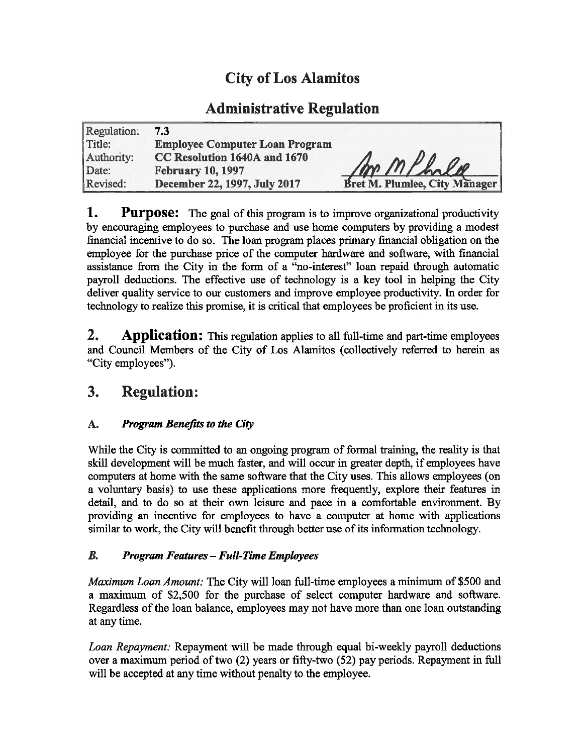# **City of Los Alamitos**

## **Administrative Regulation**

| Regulation: | 7.3                                   |                               |
|-------------|---------------------------------------|-------------------------------|
| Title:      | <b>Employee Computer Loan Program</b> |                               |
| Authority:  | CC Resolution 1640A and 1670          |                               |
| Date:       | <b>February 10, 1997</b>              | mp mphole                     |
| Revised:    | December 22, 1997, July 2017          | Bret M. Plumlee, City Manager |

1. **Purpose:** The goal of this program is to improve organizational productivity by encouraging employees to purchase and use home computers by providing a modest financial incentive to do so. The loan program places primary financial obligation on the employee for the purchase price of the computer hardware and software, with financial assistance from the City in the form of a "no-interest" loan repaid through automatic payroll deductions. The effective use of technology is a key tool in helping the City deliver quality service to our customers and improve employee productivity. In order for technology to realize this promise, it is critical that employees be proficient in its use.

 $2.$ **Application:** This regulation applies to all full-time and part-time employees and Council Members of the City of Los Alamitos (collectively referred to herein as "City employees").

#### **Regulation:** 3.

#### **Program Benefits to the City** A.

While the City is committed to an ongoing program of formal training, the reality is that skill development will be much faster, and will occur in greater depth, if employees have computers at home with the same software that the City uses. This allows employees (on a voluntary basis) to use these applications more frequently, explore their features in detail, and to do so at their own leisure and pace in a comfortable environment. By providing an incentive for employees to have a computer at home with applications similar to work, the City will benefit through better use of its information technology.

#### $B_{\cdot}$ **Program Features - Full-Time Employees**

Maximum Loan Amount: The City will loan full-time employees a minimum of \$500 and a maximum of \$2,500 for the purchase of select computer hardware and software. Regardless of the loan balance, employees may not have more than one loan outstanding at any time.

Loan Repayment: Repayment will be made through equal bi-weekly payroll deductions over a maximum period of two (2) years or fifty-two (52) pay periods. Repayment in full will be accepted at any time without penalty to the employee.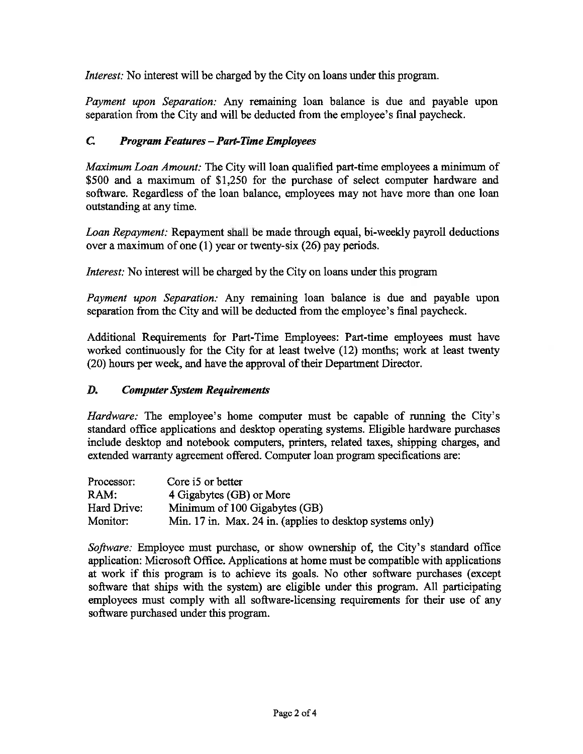*Interest:* No interest will be charged by the City on loans under this program.

*Payment upon Separation:* Any remaining loan balance is due and payable upon separation from the City and will be deducted from the employee's final paycheck.

#### $\mathcal{C}$ **Program Features - Part-Time Employees**

Maximum Loan Amount: The City will loan qualified part-time employees a minimum of \$500 and a maximum of \$1,250 for the purchase of select computer hardware and software. Regardless of the loan balance, employees may not have more than one loan outstanding at any time.

Loan Repayment: Repayment shall be made through equal, bi-weekly payroll deductions over a maximum of one  $(1)$  year or twenty-six  $(26)$  pay periods.

*Interest:* No interest will be charged by the City on loans under this program

Payment upon Separation: Any remaining loan balance is due and payable upon separation from the City and will be deducted from the employee's final paycheck.

Additional Requirements for Part-Time Employees: Part-time employees must have worked continuously for the City for at least twelve (12) months; work at least twenty (20) hours per week, and have the approval of their Department Director.

#### D. **Computer System Requirements**

*Hardware:* The employee's home computer must be capable of running the City's standard office applications and desktop operating systems. Eligible hardware purchases include desktop and notebook computers, printers, related taxes, shipping charges, and extended warranty agreement offered. Computer loan program specifications are:

| Processor:  | Core i5 or better                                         |
|-------------|-----------------------------------------------------------|
| RAM:        | 4 Gigabytes (GB) or More                                  |
| Hard Drive: | Minimum of 100 Gigabytes (GB)                             |
| Monitor:    | Min. 17 in. Max. 24 in. (applies to desktop systems only) |

Software: Employee must purchase, or show ownership of, the City's standard office application: Microsoft Office. Applications at home must be compatible with applications at work if this program is to achieve its goals. No other software purchases (except software that ships with the system) are eligible under this program. All participating employees must comply with all software-licensing requirements for their use of any software purchased under this program.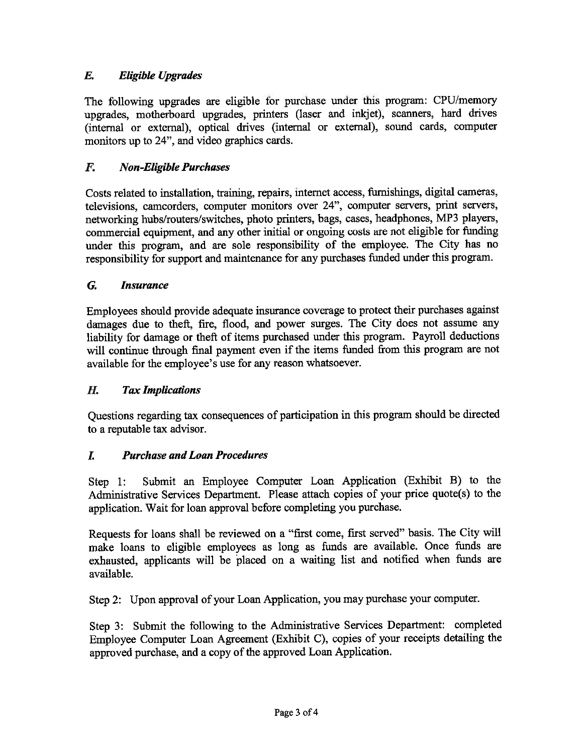#### $\boldsymbol{E}$ . **Eligible Upgrades**

The following upgrades are eligible for purchase under this program: CPU/memory upgrades, motherboard upgrades, printers (laser and inkjet), scanners, hard drives (internal or external), optical drives (internal or external), sound cards, computer monitors up to 24", and video graphics cards.

#### F. **Non-Eligible Purchases**

Costs related to installation, training, repairs, internet access, furnishings, digital cameras, televisions, camcorders, computer monitors over 24", computer servers, print servers, networking hubs/routers/switches, photo printers, bags, cases, headphones, MP3 players, commercial equipment, and any other initial or ongoing costs are not eligible for funding under this program, and are sole responsibility of the employee. The City has no responsibility for support and maintenance for any purchases funded under this program.

#### G. **Insurance**

Employees should provide adequate insurance coverage to protect their purchases against damages due to theft, fire, flood, and power surges. The City does not assume any liability for damage or theft of items purchased under this program. Payroll deductions will continue through final payment even if the items funded from this program are not available for the employee's use for any reason whatsoever.

#### H. **Tax Implications**

Questions regarding tax consequences of participation in this program should be directed to a reputable tax advisor.

#### $\overline{L}$ **Purchase and Loan Procedures**

Submit an Employee Computer Loan Application (Exhibit B) to the Step 1: Administrative Services Department. Please attach copies of your price quote(s) to the application. Wait for loan approval before completing you purchase.

Requests for loans shall be reviewed on a "first come, first served" basis. The City will make loans to eligible employees as long as funds are available. Once funds are exhausted, applicants will be placed on a waiting list and notified when funds are available.

Step 2: Upon approval of your Loan Application, you may purchase your computer.

Step 3: Submit the following to the Administrative Services Department: completed Employee Computer Loan Agreement (Exhibit C), copies of your receipts detailing the approved purchase, and a copy of the approved Loan Application.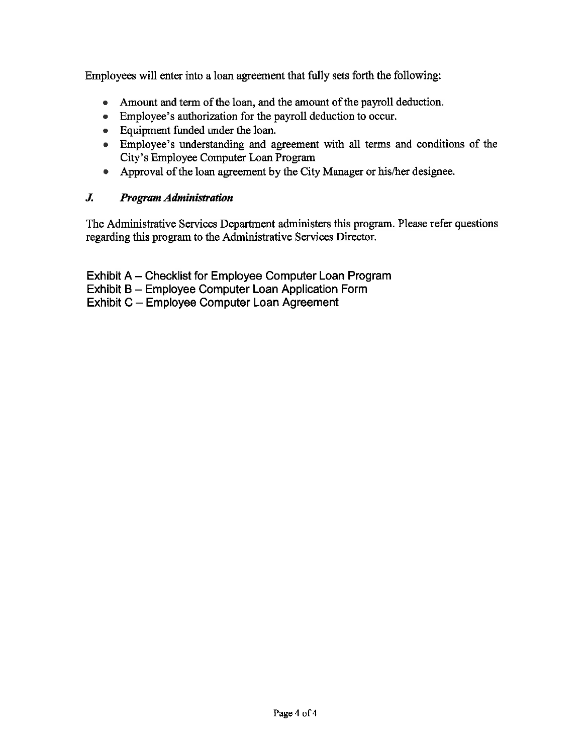Employees will enter into a loan agreement that fully sets forth the following:

- Amount and term of the loan, and the amount of the payroll deduction.
- Employee's authorization for the payroll deduction to occur.
- Equipment funded under the loan.
- Employee's understanding and agreement with all terms and conditions of the City's Employee Computer Loan Program
- Approval of the loan agreement by the City Manager or his/her designee.

#### $J_{\cdot}$ **Program Administration**

The Administrative Services Department administers this program. Please refer questions regarding this program to the Administrative Services Director.

Exhibit A - Checklist for Employee Computer Loan Program Exhibit B - Employee Computer Loan Application Form Exhibit C - Employee Computer Loan Agreement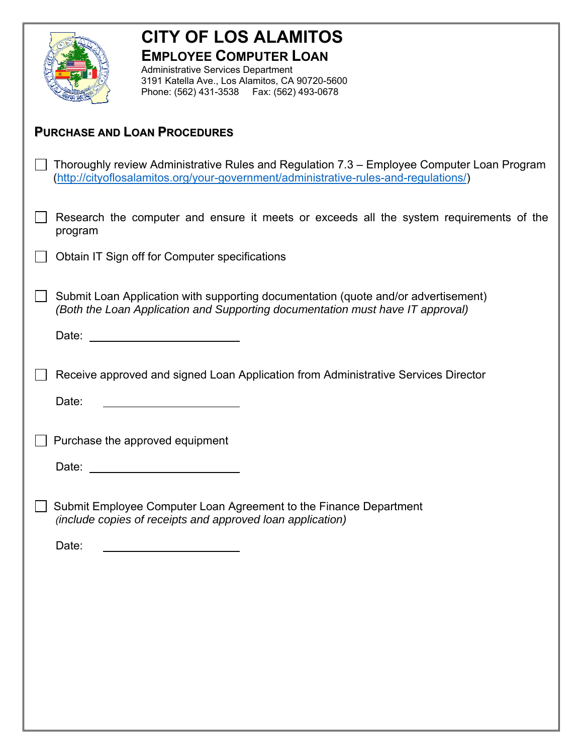

# **CITY OF LOS ALAMITOS EMPLOYEE COMPUTER LOAN**

Administrative Services Department 3191 Katella Ave., Los Alamitos, CA 90720-5600 Phone: (562) 431-3538 Fax: (562) 493-0678

### **PURCHASE AND LOAN PROCEDURES**

| $\Box$ Thoroughly review Administrative Rules and Regulation 7.3 – Employee Computer Loan Program |  |
|---------------------------------------------------------------------------------------------------|--|
| (http://cityoflosalamitos.org/your-government/administrative-rules-and-regulations/)              |  |

- Research the computer and ensure it meets or exceeds all the system requirements of the program
- $\Box$  Obtain IT Sign off for Computer specifications
- $\Box$  Submit Loan Application with supporting documentation (quote and/or advertisement) *(Both the Loan Application and Supporting documentation must have IT approval)*

Date: **Date: Date: Date: Date: Date: Date: Date: Date: Date: Date: Date: Date: Date: Date: Date: Date: Date: Date: Date: Date: Date: Date: Date: Date: Date: Date: Date:**

◯ Receive approved and signed Loan Application from Administrative Services Director

Date:

 $\Box$  Purchase the approved equipment

Date:

□ Submit Employee Computer Loan Agreement to the Finance Department *(include copies of receipts and approved loan application)* 

Date: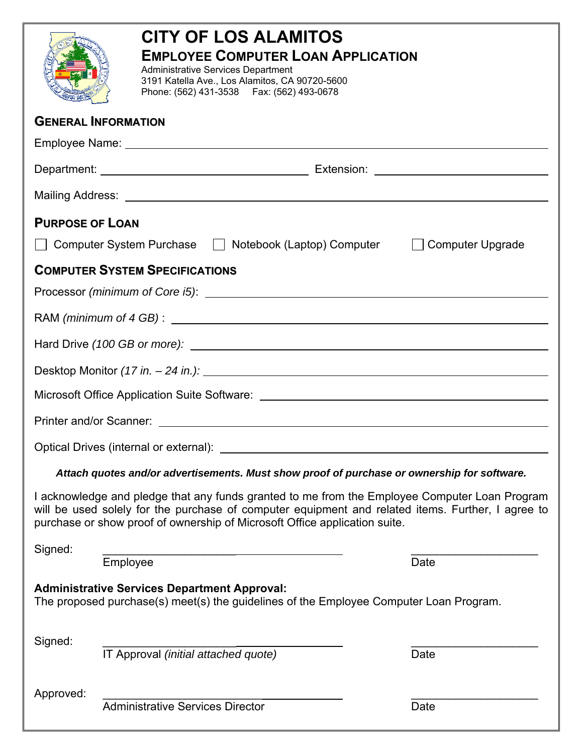|                                                                                                                                                                                                                                                                                  | <b>CITY OF LOS ALAMITOS</b><br><b>EMPLOYEE COMPUTER LOAN APPLICATION</b><br><b>Administrative Services Department</b><br>3191 Katella Ave., Los Alamitos, CA 90720-5600<br>Phone: (562) 431-3538    Fax: (562) 493-0678 |      |  |
|----------------------------------------------------------------------------------------------------------------------------------------------------------------------------------------------------------------------------------------------------------------------------------|-------------------------------------------------------------------------------------------------------------------------------------------------------------------------------------------------------------------------|------|--|
|                                                                                                                                                                                                                                                                                  | <b>GENERAL INFORMATION</b>                                                                                                                                                                                              |      |  |
|                                                                                                                                                                                                                                                                                  |                                                                                                                                                                                                                         |      |  |
|                                                                                                                                                                                                                                                                                  |                                                                                                                                                                                                                         |      |  |
|                                                                                                                                                                                                                                                                                  |                                                                                                                                                                                                                         |      |  |
| <b>PURPOSE OF LOAN</b>                                                                                                                                                                                                                                                           |                                                                                                                                                                                                                         |      |  |
| Computer System Purchase   Notebook (Laptop) Computer   Computer Upgrade                                                                                                                                                                                                         |                                                                                                                                                                                                                         |      |  |
|                                                                                                                                                                                                                                                                                  | <b>COMPUTER SYSTEM SPECIFICATIONS</b>                                                                                                                                                                                   |      |  |
|                                                                                                                                                                                                                                                                                  |                                                                                                                                                                                                                         |      |  |
|                                                                                                                                                                                                                                                                                  |                                                                                                                                                                                                                         |      |  |
|                                                                                                                                                                                                                                                                                  |                                                                                                                                                                                                                         |      |  |
|                                                                                                                                                                                                                                                                                  |                                                                                                                                                                                                                         |      |  |
|                                                                                                                                                                                                                                                                                  | Microsoft Office Application Suite Software: ___________________________________                                                                                                                                        |      |  |
|                                                                                                                                                                                                                                                                                  |                                                                                                                                                                                                                         |      |  |
|                                                                                                                                                                                                                                                                                  | Optical Drives (internal or external):                                                                                                                                                                                  |      |  |
|                                                                                                                                                                                                                                                                                  | Attach quotes and/or advertisements. Must show proof of purchase or ownership for software.                                                                                                                             |      |  |
| I acknowledge and pledge that any funds granted to me from the Employee Computer Loan Program<br>will be used solely for the purchase of computer equipment and related items. Further, I agree to<br>purchase or show proof of ownership of Microsoft Office application suite. |                                                                                                                                                                                                                         |      |  |
| Signed:                                                                                                                                                                                                                                                                          | Employee                                                                                                                                                                                                                | Date |  |
| <b>Administrative Services Department Approval:</b><br>The proposed purchase(s) meet(s) the guidelines of the Employee Computer Loan Program.                                                                                                                                    |                                                                                                                                                                                                                         |      |  |
| Signed:                                                                                                                                                                                                                                                                          | IT Approval (initial attached quote)                                                                                                                                                                                    | Date |  |
| Approved:                                                                                                                                                                                                                                                                        | <b>Administrative Services Director</b>                                                                                                                                                                                 | Date |  |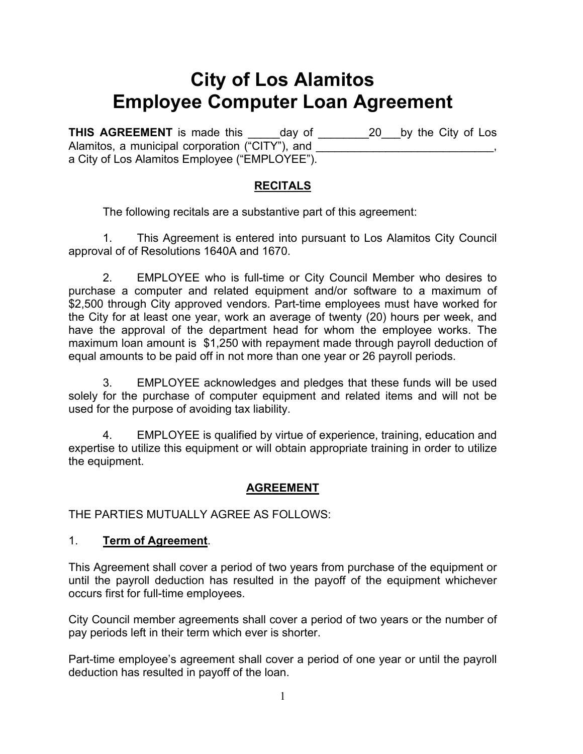# **City of Los Alamitos Employee Computer Loan Agreement**

**THIS AGREEMENT** is made this day of 20 by the City of Los Alamitos, a municipal corporation  $(\overline{\text{CITY}}^n)$ , and a City of Los Alamitos Employee ("EMPLOYEE").

### **RECITALS**

The following recitals are a substantive part of this agreement:

 1. This Agreement is entered into pursuant to Los Alamitos City Council approval of of Resolutions 1640A and 1670.

 2. EMPLOYEE who is full-time or City Council Member who desires to purchase a computer and related equipment and/or software to a maximum of \$2,500 through City approved vendors. Part-time employees must have worked for the City for at least one year, work an average of twenty (20) hours per week, and have the approval of the department head for whom the employee works. The maximum loan amount is \$1,250 with repayment made through payroll deduction of equal amounts to be paid off in not more than one year or 26 payroll periods.

 3. EMPLOYEE acknowledges and pledges that these funds will be used solely for the purchase of computer equipment and related items and will not be used for the purpose of avoiding tax liability.

 4. EMPLOYEE is qualified by virtue of experience, training, education and expertise to utilize this equipment or will obtain appropriate training in order to utilize the equipment.

### **AGREEMENT**

THE PARTIES MUTUALLY AGREE AS FOLLOWS:

### 1. **Term of Agreement**.

This Agreement shall cover a period of two years from purchase of the equipment or until the payroll deduction has resulted in the payoff of the equipment whichever occurs first for full-time employees.

City Council member agreements shall cover a period of two years or the number of pay periods left in their term which ever is shorter.

Part-time employee's agreement shall cover a period of one year or until the payroll deduction has resulted in payoff of the loan.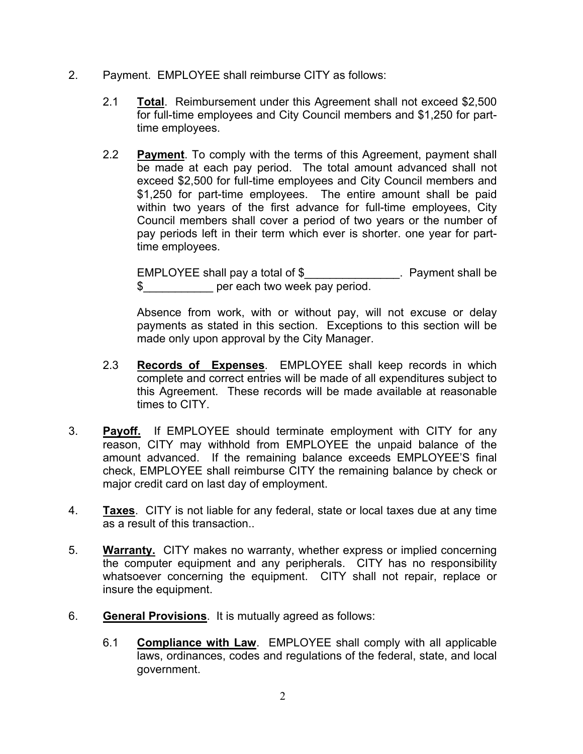- 2. Payment. EMPLOYEE shall reimburse CITY as follows:
	- 2.1 **Total**. Reimbursement under this Agreement shall not exceed \$2,500 for full-time employees and City Council members and \$1,250 for parttime employees.
	- 2.2 **Payment**. To comply with the terms of this Agreement, payment shall be made at each pay period. The total amount advanced shall not exceed \$2,500 for full-time employees and City Council members and \$1,250 for part-time employees. The entire amount shall be paid within two years of the first advance for full-time employees, City Council members shall cover a period of two years or the number of pay periods left in their term which ever is shorter. one year for parttime employees.

EMPLOYEE shall pay a total of \$\_\_\_\_\_\_\_\_\_\_\_\_\_\_\_\_. Payment shall be \$\_\_\_\_\_\_\_\_\_\_\_ per each two week pay period.

Absence from work, with or without pay, will not excuse or delay payments as stated in this section. Exceptions to this section will be made only upon approval by the City Manager.

- 2.3 **Records of Expenses**. EMPLOYEE shall keep records in which complete and correct entries will be made of all expenditures subject to this Agreement. These records will be made available at reasonable times to CITY.
- 3. **Payoff.** If EMPLOYEE should terminate employment with CITY for any reason, CITY may withhold from EMPLOYEE the unpaid balance of the amount advanced. If the remaining balance exceeds EMPLOYEE'S final check, EMPLOYEE shall reimburse CITY the remaining balance by check or major credit card on last day of employment.
- 4. **Taxes**. CITY is not liable for any federal, state or local taxes due at any time as a result of this transaction..
- 5. **Warranty.** CITY makes no warranty, whether express or implied concerning the computer equipment and any peripherals. CITY has no responsibility whatsoever concerning the equipment. CITY shall not repair, replace or insure the equipment.
- 6. **General Provisions**. It is mutually agreed as follows:
	- 6.1 **Compliance with Law**. EMPLOYEE shall comply with all applicable laws, ordinances, codes and regulations of the federal, state, and local government.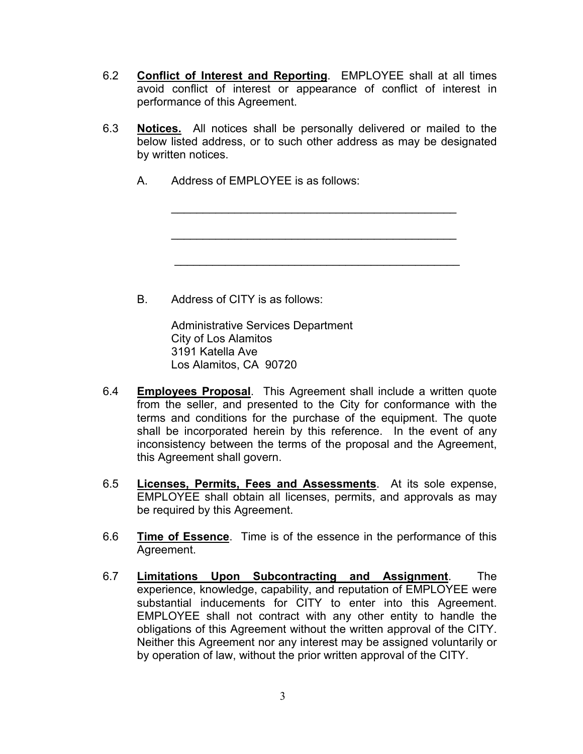- 6.2 **Conflict of Interest and Reporting**. EMPLOYEE shall at all times avoid conflict of interest or appearance of conflict of interest in performance of this Agreement.
- 6.3 **Notices.** All notices shall be personally delivered or mailed to the below listed address, or to such other address as may be designated by written notices.
	- A. Address of EMPLOYEE is as follows:

 $\mathcal{L}_\mathcal{L} = \{ \mathcal{L}_\mathcal{L} = \{ \mathcal{L}_\mathcal{L} = \{ \mathcal{L}_\mathcal{L} = \{ \mathcal{L}_\mathcal{L} = \{ \mathcal{L}_\mathcal{L} = \{ \mathcal{L}_\mathcal{L} = \{ \mathcal{L}_\mathcal{L} = \{ \mathcal{L}_\mathcal{L} = \{ \mathcal{L}_\mathcal{L} = \{ \mathcal{L}_\mathcal{L} = \{ \mathcal{L}_\mathcal{L} = \{ \mathcal{L}_\mathcal{L} = \{ \mathcal{L}_\mathcal{L} = \{ \mathcal{L}_\mathcal{$ 

 $\frac{1}{2}$  ,  $\frac{1}{2}$  ,  $\frac{1}{2}$  ,  $\frac{1}{2}$  ,  $\frac{1}{2}$  ,  $\frac{1}{2}$  ,  $\frac{1}{2}$  ,  $\frac{1}{2}$  ,  $\frac{1}{2}$  ,  $\frac{1}{2}$  ,  $\frac{1}{2}$  ,  $\frac{1}{2}$  ,  $\frac{1}{2}$  ,  $\frac{1}{2}$  ,  $\frac{1}{2}$  ,  $\frac{1}{2}$  ,  $\frac{1}{2}$  ,  $\frac{1}{2}$  ,  $\frac{1$ 

 $\mathcal{L}_\mathcal{L} = \mathcal{L}_\mathcal{L} = \mathcal{L}_\mathcal{L} = \mathcal{L}_\mathcal{L} = \mathcal{L}_\mathcal{L} = \mathcal{L}_\mathcal{L} = \mathcal{L}_\mathcal{L} = \mathcal{L}_\mathcal{L} = \mathcal{L}_\mathcal{L} = \mathcal{L}_\mathcal{L} = \mathcal{L}_\mathcal{L} = \mathcal{L}_\mathcal{L} = \mathcal{L}_\mathcal{L} = \mathcal{L}_\mathcal{L} = \mathcal{L}_\mathcal{L} = \mathcal{L}_\mathcal{L} = \mathcal{L}_\mathcal{L}$ 

B. Address of CITY is as follows:

 Administrative Services Department City of Los Alamitos 3191 Katella Ave Los Alamitos, CA 90720

- 6.4 **Employees Proposal**. This Agreement shall include a written quote from the seller, and presented to the City for conformance with the terms and conditions for the purchase of the equipment. The quote shall be incorporated herein by this reference. In the event of any inconsistency between the terms of the proposal and the Agreement, this Agreement shall govern.
- 6.5 **Licenses, Permits, Fees and Assessments**. At its sole expense, EMPLOYEE shall obtain all licenses, permits, and approvals as may be required by this Agreement.
- 6.6 **Time of Essence**. Time is of the essence in the performance of this Agreement.
- 6.7 **Limitations Upon Subcontracting and Assignment**. The experience, knowledge, capability, and reputation of EMPLOYEE were substantial inducements for CITY to enter into this Agreement. EMPLOYEE shall not contract with any other entity to handle the obligations of this Agreement without the written approval of the CITY. Neither this Agreement nor any interest may be assigned voluntarily or by operation of law, without the prior written approval of the CITY.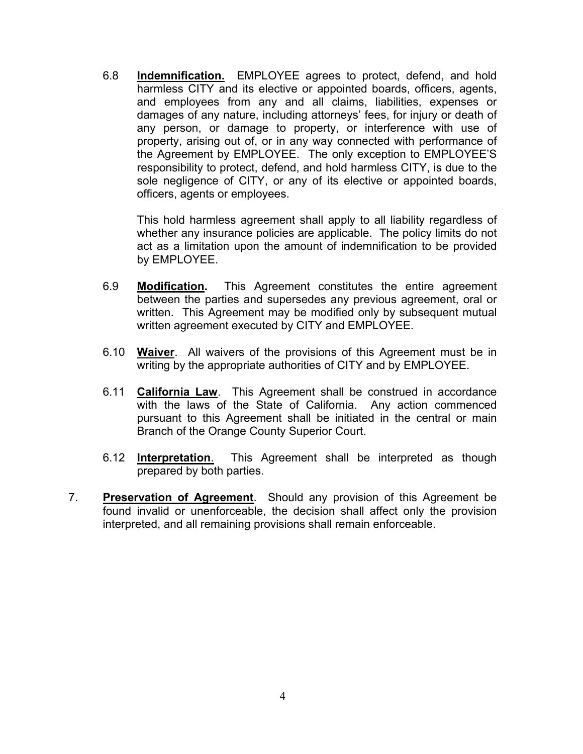6.8 **Indemnification.** EMPLOYEE agrees to protect, defend, and hold harmless CITY and its elective or appointed boards, officers, agents, and employees from any and all claims, liabilities, expenses or damages of any nature, including attorneys' fees, for injury or death of any person, or damage to property, or interference with use of property, arising out of, or in any way connected with performance of the Agreement by EMPLOYEE. The only exception to EMPLOYEE'S responsibility to protect, defend, and hold harmless CITY, is due to the sole negligence of CITY, or any of its elective or appointed boards, officers, agents or employees.

 This hold harmless agreement shall apply to all liability regardless of whether any insurance policies are applicable. The policy limits do not act as a limitation upon the amount of indemnification to be provided by EMPLOYEE.

- 6.9 **Modification.** This Agreement constitutes the entire agreement between the parties and supersedes any previous agreement, oral or written. This Agreement may be modified only by subsequent mutual written agreement executed by CITY and EMPLOYEE.
- 6.10 **Waiver**. All waivers of the provisions of this Agreement must be in writing by the appropriate authorities of CITY and by EMPLOYEE.
- 6.11 **California Law**. This Agreement shall be construed in accordance with the laws of the State of California. Any action commenced pursuant to this Agreement shall be initiated in the central or main Branch of the Orange County Superior Court.
- 6.12 **Interpretation**. This Agreement shall be interpreted as though prepared by both parties.
- 7. **Preservation of Agreement**. Should any provision of this Agreement be found invalid or unenforceable, the decision shall affect only the provision interpreted, and all remaining provisions shall remain enforceable.